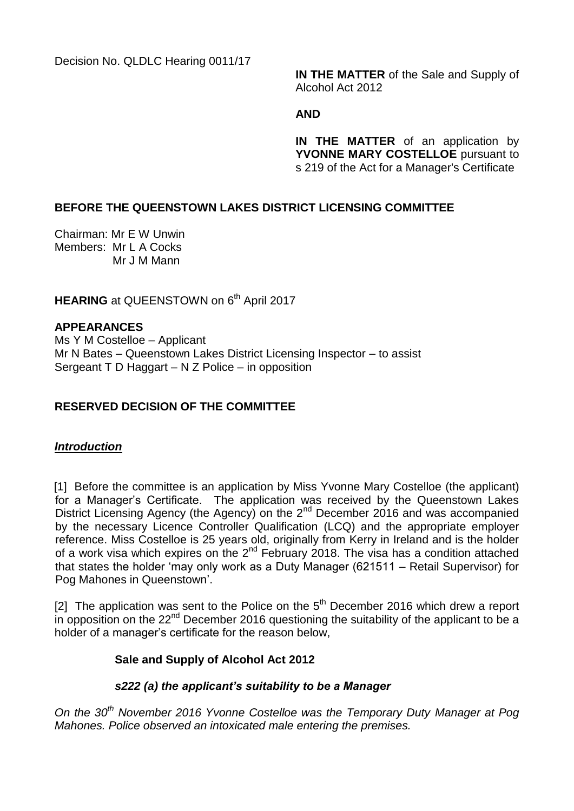Decision No. QLDLC Hearing 0011/17

**IN THE MATTER** of the Sale and Supply of Alcohol Act 2012

### **AND**

**IN THE MATTER** of an application by **YVONNE MARY COSTELLOE** pursuant to s 219 of the Act for a Manager's Certificate

# **BEFORE THE QUEENSTOWN LAKES DISTRICT LICENSING COMMITTEE**

Chairman: Mr E W Unwin Members: Mr L A Cocks Mr J M Mann

## HEARING at QUEENSTOWN on 6<sup>th</sup> April 2017

**APPEARANCES** Ms Y M Costelloe – Applicant Mr N Bates – Queenstown Lakes District Licensing Inspector – to assist Sergeant T D Haggart – N Z Police – in opposition

# **RESERVED DECISION OF THE COMMITTEE**

## *Introduction*

[1] Before the committee is an application by Miss Yvonne Mary Costelloe (the applicant) for a Manager's Certificate. The application was received by the Queenstown Lakes District Licensing Agency (the Agency) on the 2<sup>nd</sup> December 2016 and was accompanied by the necessary Licence Controller Qualification (LCQ) and the appropriate employer reference. Miss Costelloe is 25 years old, originally from Kerry in Ireland and is the holder of a work visa which expires on the  $2^{nd}$  February 2018. The visa has a condition attached that states the holder 'may only work as a Duty Manager (621511 – Retail Supervisor) for Pog Mahones in Queenstown'.

[2] The application was sent to the Police on the  $5<sup>th</sup>$  December 2016 which drew a report in opposition on the 22<sup>nd</sup> December 2016 questioning the suitability of the applicant to be a holder of a manager's certificate for the reason below,

## **Sale and Supply of Alcohol Act 2012**

## *s222 (a) the applicant's suitability to be a Manager*

*On the 30th November 2016 Yvonne Costelloe was the Temporary Duty Manager at Pog Mahones. Police observed an intoxicated male entering the premises.*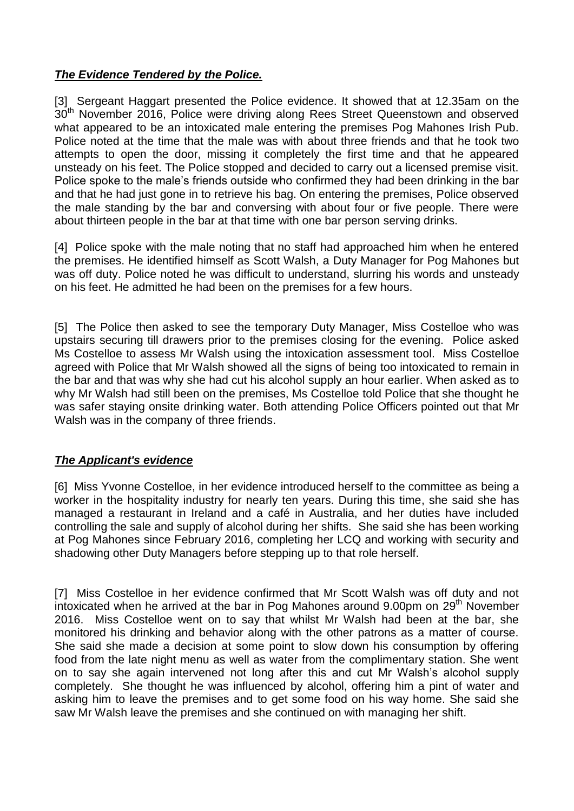# *The Evidence Tendered by the Police.*

[3] Sergeant Haggart presented the Police evidence. It showed that at 12.35am on the 30<sup>th</sup> November 2016, Police were driving along Rees Street Queenstown and observed what appeared to be an intoxicated male entering the premises Pog Mahones Irish Pub. Police noted at the time that the male was with about three friends and that he took two attempts to open the door, missing it completely the first time and that he appeared unsteady on his feet. The Police stopped and decided to carry out a licensed premise visit. Police spoke to the male's friends outside who confirmed they had been drinking in the bar and that he had just gone in to retrieve his bag. On entering the premises, Police observed the male standing by the bar and conversing with about four or five people. There were about thirteen people in the bar at that time with one bar person serving drinks.

[4] Police spoke with the male noting that no staff had approached him when he entered the premises. He identified himself as Scott Walsh, a Duty Manager for Pog Mahones but was off duty. Police noted he was difficult to understand, slurring his words and unsteady on his feet. He admitted he had been on the premises for a few hours.

[5] The Police then asked to see the temporary Duty Manager, Miss Costelloe who was upstairs securing till drawers prior to the premises closing for the evening. Police asked Ms Costelloe to assess Mr Walsh using the intoxication assessment tool. Miss Costelloe agreed with Police that Mr Walsh showed all the signs of being too intoxicated to remain in the bar and that was why she had cut his alcohol supply an hour earlier. When asked as to why Mr Walsh had still been on the premises, Ms Costelloe told Police that she thought he was safer staying onsite drinking water. Both attending Police Officers pointed out that Mr Walsh was in the company of three friends.

# *The Applicant's evidence*

[6] Miss Yvonne Costelloe, in her evidence introduced herself to the committee as being a worker in the hospitality industry for nearly ten years. During this time, she said she has managed a restaurant in Ireland and a café in Australia, and her duties have included controlling the sale and supply of alcohol during her shifts. She said she has been working at Pog Mahones since February 2016, completing her LCQ and working with security and shadowing other Duty Managers before stepping up to that role herself.

[7] Miss Costelloe in her evidence confirmed that Mr Scott Walsh was off duty and not intoxicated when he arrived at the bar in Pog Mahones around 9.00pm on  $29<sup>th</sup>$  November 2016. Miss Costelloe went on to say that whilst Mr Walsh had been at the bar, she monitored his drinking and behavior along with the other patrons as a matter of course. She said she made a decision at some point to slow down his consumption by offering food from the late night menu as well as water from the complimentary station. She went on to say she again intervened not long after this and cut Mr Walsh's alcohol supply completely. She thought he was influenced by alcohol, offering him a pint of water and asking him to leave the premises and to get some food on his way home. She said she saw Mr Walsh leave the premises and she continued on with managing her shift.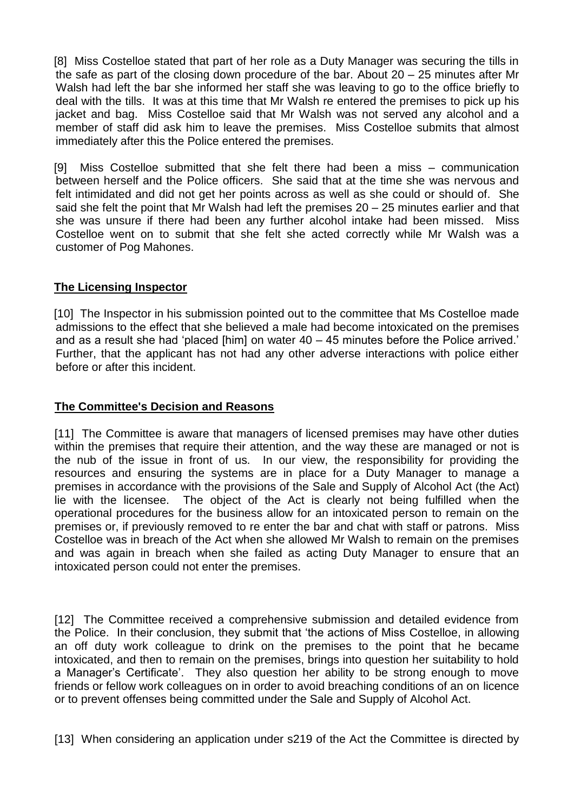[8] Miss Costelloe stated that part of her role as a Duty Manager was securing the tills in the safe as part of the closing down procedure of the bar. About 20 – 25 minutes after Mr Walsh had left the bar she informed her staff she was leaving to go to the office briefly to deal with the tills. It was at this time that Mr Walsh re entered the premises to pick up his jacket and bag. Miss Costelloe said that Mr Walsh was not served any alcohol and a member of staff did ask him to leave the premises. Miss Costelloe submits that almost immediately after this the Police entered the premises.

[9] Miss Costelloe submitted that she felt there had been a miss – communication between herself and the Police officers. She said that at the time she was nervous and felt intimidated and did not get her points across as well as she could or should of. She said she felt the point that Mr Walsh had left the premises 20 – 25 minutes earlier and that she was unsure if there had been any further alcohol intake had been missed. Miss Costelloe went on to submit that she felt she acted correctly while Mr Walsh was a customer of Pog Mahones.

# **The Licensing Inspector**

[10] The Inspector in his submission pointed out to the committee that Ms Costelloe made admissions to the effect that she believed a male had become intoxicated on the premises and as a result she had 'placed [him] on water 40 – 45 minutes before the Police arrived.' Further, that the applicant has not had any other adverse interactions with police either before or after this incident.

## **The Committee's Decision and Reasons**

[11] The Committee is aware that managers of licensed premises may have other duties within the premises that require their attention, and the way these are managed or not is the nub of the issue in front of us. In our view, the responsibility for providing the resources and ensuring the systems are in place for a Duty Manager to manage a premises in accordance with the provisions of the Sale and Supply of Alcohol Act (the Act) lie with the licensee. The object of the Act is clearly not being fulfilled when the operational procedures for the business allow for an intoxicated person to remain on the premises or, if previously removed to re enter the bar and chat with staff or patrons. Miss Costelloe was in breach of the Act when she allowed Mr Walsh to remain on the premises and was again in breach when she failed as acting Duty Manager to ensure that an intoxicated person could not enter the premises.

[12] The Committee received a comprehensive submission and detailed evidence from the Police. In their conclusion, they submit that 'the actions of Miss Costelloe, in allowing an off duty work colleague to drink on the premises to the point that he became intoxicated, and then to remain on the premises, brings into question her suitability to hold a Manager's Certificate'. They also question her ability to be strong enough to move friends or fellow work colleagues on in order to avoid breaching conditions of an on licence or to prevent offenses being committed under the Sale and Supply of Alcohol Act.

[13] When considering an application under s219 of the Act the Committee is directed by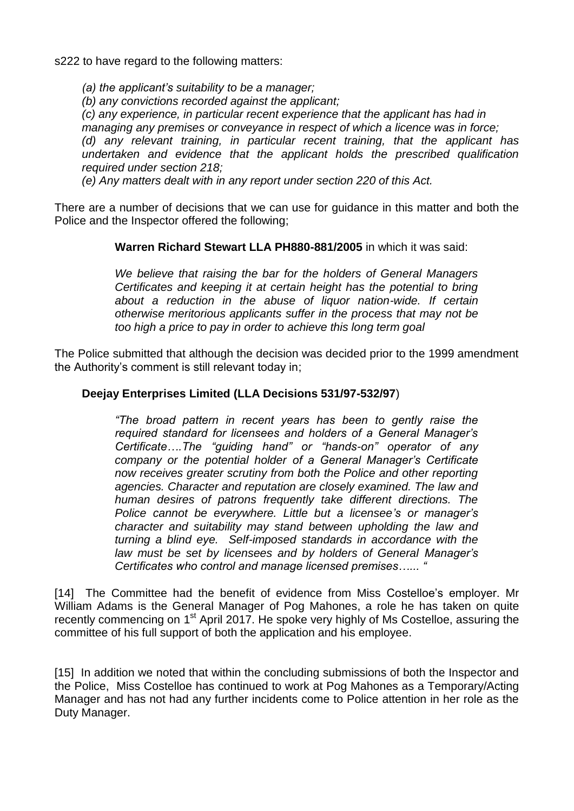s222 to have regard to the following matters:

*(a) the applicant's suitability to be a manager;*

*(b) any convictions recorded against the applicant;*

*(c) any experience, in particular recent experience that the applicant has had in managing any premises or conveyance in respect of which a licence was in force; (d) any relevant training, in particular recent training, that the applicant has undertaken and evidence that the applicant holds the prescribed qualification required under section 218;*

*(e) Any matters dealt with in any report under section 220 of this Act.*

There are a number of decisions that we can use for guidance in this matter and both the Police and the Inspector offered the following;

#### **Warren Richard Stewart LLA PH880-881/2005** in which it was said:

*We believe that raising the bar for the holders of General Managers Certificates and keeping it at certain height has the potential to bring about a reduction in the abuse of liquor nation-wide. If certain otherwise meritorious applicants suffer in the process that may not be too high a price to pay in order to achieve this long term goal*

The Police submitted that although the decision was decided prior to the 1999 amendment the Authority's comment is still relevant today in;

#### **Deejay Enterprises Limited (LLA Decisions 531/97-532/97**)

*"The broad pattern in recent years has been to gently raise the required standard for licensees and holders of a General Manager's Certificate….The "guiding hand" or "hands-on" operator of any company or the potential holder of a General Manager's Certificate now receives greater scrutiny from both the Police and other reporting agencies. Character and reputation are closely examined. The law and human desires of patrons frequently take different directions. The Police cannot be everywhere. Little but a licensee's or manager's character and suitability may stand between upholding the law and turning a blind eye. Self-imposed standards in accordance with the law must be set by licensees and by holders of General Manager's Certificates who control and manage licensed premises…... "*

[14] The Committee had the benefit of evidence from Miss Costelloe's employer. Mr William Adams is the General Manager of Pog Mahones, a role he has taken on quite recently commencing on 1<sup>st</sup> April 2017. He spoke very highly of Ms Costelloe, assuring the committee of his full support of both the application and his employee.

[15] In addition we noted that within the concluding submissions of both the Inspector and the Police, Miss Costelloe has continued to work at Pog Mahones as a Temporary/Acting Manager and has not had any further incidents come to Police attention in her role as the Duty Manager.